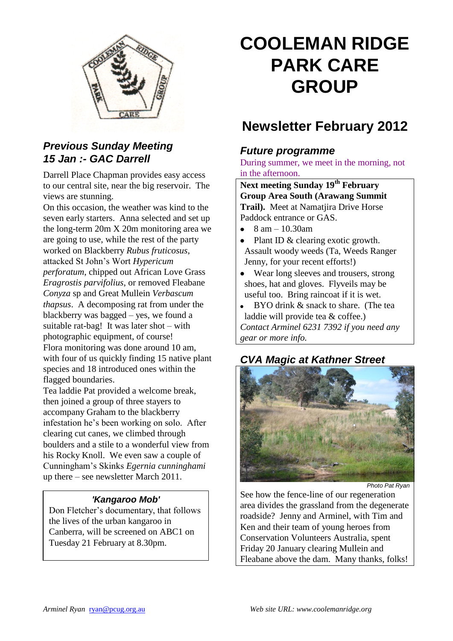

#### *Previous Sunday Meeting 15 Jan :- GAC Darrell*

Darrell Place Chapman provides easy access to our central site, near the big reservoir. The views are stunning.

On this occasion, the weather was kind to the seven early starters. Anna selected and set up the long-term 20m X 20m monitoring area we are going to use, while the rest of the party worked on Blackberry *Rubus fruticosus*, attacked St John's Wort *Hypericum perforatum*, chipped out African Love Grass *Eragrostis parvifolius*, or removed Fleabane *Conyza* sp and Great Mullein *Verbascum thapsus*. A decomposing rat from under the blackberry was bagged – yes, we found a suitable rat-bag! It was later shot – with photographic equipment, of course! Flora monitoring was done around 10 am, with four of us quickly finding 15 native plant species and 18 introduced ones within the flagged boundaries.

Tea laddie Pat provided a welcome break, then joined a group of three stayers to accompany Graham to the blackberry infestation he's been working on solo. After clearing cut canes, we climbed through boulders and a stile to a wonderful view from his Rocky Knoll. We even saw a couple of Cunningham's Skinks *Egernia cunninghami*  up there – see newsletter March 2011.

#### *'Kangaroo Mob'*

Don Fletcher's documentary, that follows the lives of the urban kangaroo in Canberra, will be screened on ABC1 on Tuesday 21 February at 8.30pm.

# **COOLEMAN RIDGE PARK CARE GROUP**

## **Newsletter February 2012**

#### *Future programme*

During summer, we meet in the morning, not in the afternoon.

**Next meeting Sunday 19th February Group Area South (Arawang Summit Trail).** Meet at Namatjira Drive Horse Paddock entrance or GAS.

- 8 am 10.30am  $\bullet$
- Plant ID & clearing exotic growth. Assault woody weeds (Ta, Weeds Ranger Jenny, for your recent efforts!)
- Wear long sleeves and trousers, strong shoes, hat and gloves. Flyveils may be useful too. Bring raincoat if it is wet.
- $\bullet$ BYO drink & snack to share. (The tea laddie will provide tea & coffee.) *Contact Arminel 6231 7392 if you need any gear or more info.*

#### *CVA Magic at Kathner Street*



*Photo Pat Ryan*

See how the fence-line of our regeneration area divides the grassland from the degenerate roadside? Jenny and Arminel, with Tim and Ken and their team of young heroes from Conservation Volunteers Australia, spent Friday 20 January clearing Mullein and Fleabane above the dam. Many thanks, folks!